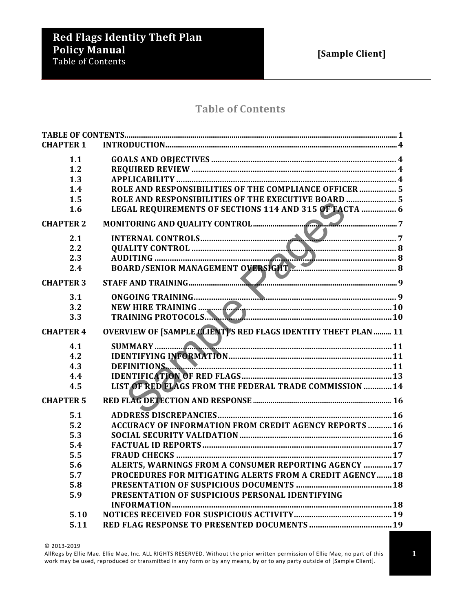# **Table of Contents**

<span id="page-0-0"></span>

| <b>CHAPTER 1</b> |                                                                        |  |
|------------------|------------------------------------------------------------------------|--|
| 1.1              |                                                                        |  |
| 1.2              |                                                                        |  |
| 1.3              |                                                                        |  |
| 1.4              | ROLE AND RESPONSIBILITIES OF THE COMPLIANCE OFFICER 5                  |  |
| 1.5              | ROLE AND RESPONSIBILITIES OF THE EXECUTIVE BOARD  5                    |  |
| 1.6              | LEGAL REQUIREMENTS OF SECTIONS 114 AND 315 OF FACTA  6                 |  |
| <b>CHAPTER 2</b> |                                                                        |  |
| 2.1              |                                                                        |  |
| 2.2              |                                                                        |  |
| 2.3              |                                                                        |  |
| 2.4              |                                                                        |  |
| <b>CHAPTER 3</b> |                                                                        |  |
| 3.1              |                                                                        |  |
| 3.2              |                                                                        |  |
| 3.3              |                                                                        |  |
| <b>CHAPTER 4</b> | <b>OVERVIEW OF [SAMPLE CLIENT]'S RED FLAGS IDENTITY THEFT PLAN  11</b> |  |
| 4.1              |                                                                        |  |
| 4.2              |                                                                        |  |
| 4.3              |                                                                        |  |
| 4.4              |                                                                        |  |
| 4.5              | LIST OF RED FLAGS FROM THE FEDERAL TRADE COMMISSION  14                |  |
| <b>CHAPTER 5</b> |                                                                        |  |
| 5.1              |                                                                        |  |
| 5.2              | <b>ACCURACY OF INFORMATION FROM CREDIT AGENCY REPORTS 16</b>           |  |
| 5.3              |                                                                        |  |
| 5.4              |                                                                        |  |
| 5.5              |                                                                        |  |
| 5.6              | ALERTS, WARNINGS FROM A CONSUMER REPORTING AGENCY  17                  |  |
| 5.7              | PROCEDURES FOR MITIGATING ALERTS FROM A CREDIT AGENCY  18              |  |
| 5.8              |                                                                        |  |
| 5.9              | PRESENTATION OF SUSPICIOUS PERSONAL IDENTIFYING                        |  |
|                  |                                                                        |  |
| 5.10             |                                                                        |  |
| 5.11             |                                                                        |  |

© 2013-2019

AllRegs by Ellie Mae. Ellie Mae, Inc. ALL RIGHTS RESERVED. Without the prior written permission of Ellie Mae, no part of this work may be used, reproduced or transmitted in any form or by any means, by or to any party outside of [Sample Client].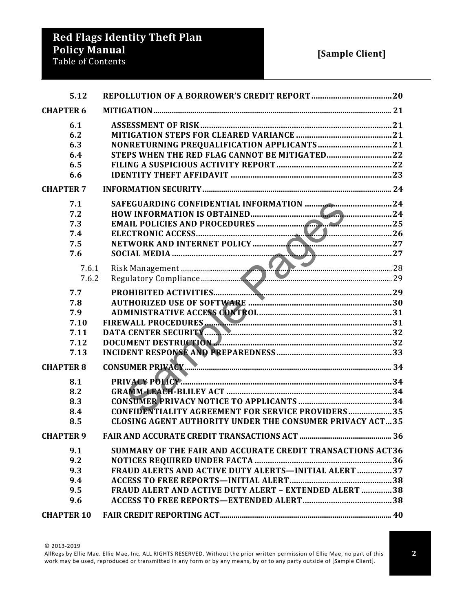| 5.12              |                                                                                                                |    |
|-------------------|----------------------------------------------------------------------------------------------------------------|----|
| <b>CHAPTER 6</b>  |                                                                                                                |    |
| 6.1               |                                                                                                                |    |
| 6.2               |                                                                                                                |    |
| 6.3               |                                                                                                                |    |
| 6.4               | STEPS WHEN THE RED FLAG CANNOT BE MITIGATED 22                                                                 |    |
| 6.5               |                                                                                                                |    |
| 6.6               |                                                                                                                |    |
| <b>CHAPTER 7</b>  |                                                                                                                |    |
| 7.1               |                                                                                                                |    |
| 7.2               |                                                                                                                |    |
| 7.3               |                                                                                                                |    |
| 7.4               |                                                                                                                |    |
| 7.5               |                                                                                                                |    |
| 7.6               |                                                                                                                |    |
| 7.6.1             |                                                                                                                |    |
| 7.6.2             |                                                                                                                |    |
| 7.7               |                                                                                                                |    |
| 7.8               |                                                                                                                |    |
| 7.9               |                                                                                                                |    |
| 7.10              |                                                                                                                |    |
| 7.11              | DATA CENTER SECURITY <b>AND REGISTER AND REGISTER</b> 32                                                       |    |
| 7.12              | DOCUMENT DESTRUCTION MARRIEUM AND THE SET OF SALE AND THE SET OF A LIMIT OF SALE AND THE SET OF SALE AND THE S |    |
| 7.13              |                                                                                                                |    |
| <b>CHAPTER 8</b>  |                                                                                                                |    |
| 8.1               |                                                                                                                |    |
| 8.2               |                                                                                                                |    |
| 8.3               |                                                                                                                |    |
| 8.4               | <b>CONFIDENTIALITY AGREEMENT FOR SERVICE PROVIDERS35</b>                                                       |    |
| 8.5               | <b>CLOSING AGENT AUTHORITY UNDER THE CONSUMER PRIVACY ACT35</b>                                                |    |
| <b>CHAPTER 9</b>  |                                                                                                                | 36 |
| 9.1               | <b>SUMMARY OF THE FAIR AND ACCURATE CREDIT TRANSACTIONS ACT36</b>                                              |    |
| 9.2               |                                                                                                                |    |
| 9.3               | FRAUD ALERTS AND ACTIVE DUTY ALERTS-INITIAL ALERT  37                                                          |    |
| 9.4               |                                                                                                                |    |
| 9.5               | FRAUD ALERT AND ACTIVE DUTY ALERT - EXTENDED ALERT 38                                                          |    |
| 9.6               |                                                                                                                |    |
| <b>CHAPTER 10</b> |                                                                                                                |    |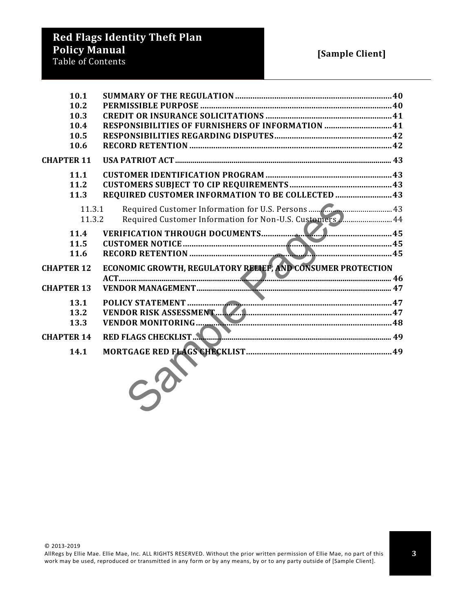| 10.1<br>10.2<br>10.3<br>10.4<br>10.5 | RESPONSIBILITIES OF FURNISHERS OF INFORMATION 41            |
|--------------------------------------|-------------------------------------------------------------|
| 10.6                                 |                                                             |
| <b>CHAPTER 11</b>                    |                                                             |
| 11.1<br>11.2<br>11.3                 | REQUIRED CUSTOMER INFORMATION TO BE COLLECTED  43           |
| 11.3.1<br>11.3.2                     | Required Customer Information for Non-U.S. Customers  44    |
| 11.4<br>11.5<br>11.6                 |                                                             |
| <b>CHAPTER 12</b>                    | ECONOMIC GROWTH, REGULATORY RELIEF, AND CONSUMER PROTECTION |
| <b>CHAPTER 13</b>                    |                                                             |
| 13.1<br>13.2<br>13.3                 | VENDOR MONITORING                                           |
| <b>CHAPTER 14</b><br>14.1            |                                                             |
|                                      |                                                             |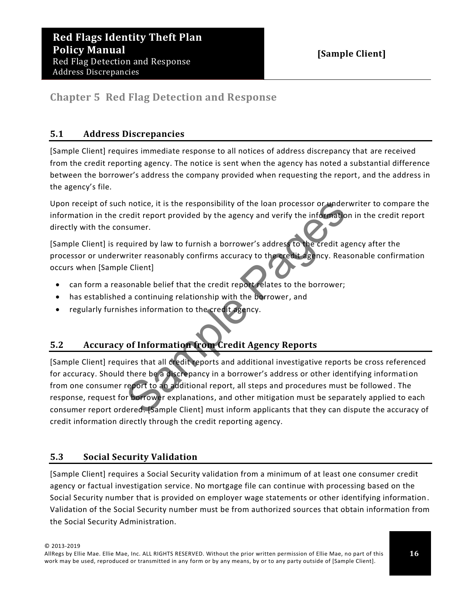## <span id="page-3-1"></span><span id="page-3-0"></span>**Chapter 5 Red Flag Detection and Response**

### **5.1 Address Discrepancies**

[Sample Client] requires immediate response to all notices of address discrepancy that are received from the credit reporting agency. The notice is sent when the agency has noted a substantial difference between the borrower's address the company provided when requesting the report, and the address in the agency's file.

Upon receipt of such notice, it is the responsibility of the loan processor or underwriter to compare the information in the credit report provided by the agency and verify the information in the credit report directly with the consumer.

[Sample Client] is required by law to furnish a borrower's address to the credit agency after the processor or underwriter reasonably confirms accuracy to the credit agency. Reasonable confirmation occurs when [Sample Client]

- can form a reasonable belief that the credit report relates to the borrower;
- has established a continuing relationship with the borrower, and
- regularly furnishes information to the credit agency.

## <span id="page-3-2"></span>**5.2 Accuracy of Information from Credit Agency Reports**

[Sample Client] requires that all credit reports and additional investigative reports be cross referenced for accuracy. Should there be a discrepancy in a borrower's address or other identifying information from one consumer report to an additional report, all steps and procedures must be followed. The response, request for borrower explanations, and other mitigation must be separately applied to each consumer report ordered. [Sample Client] must inform applicants that they can dispute the accuracy of credit information directly through the credit reporting agency. and the page of the loan processor or under<br>
interedit report provided by the agency and verify the information<br>
sumer.<br>
Agrived by law to furnish a borrower's address to the credit agency.<br>
Real<br>
e Client and the credit r

#### <span id="page-3-3"></span>**5.3 Social Security Validation**

[Sample Client] requires a Social Security validation from a minimum of at least one consumer credit agency or factual investigation service. No mortgage file can continue with processing based on the Social Security number that is provided on employer wage statements or other identifying information. Validation of the Social Security number must be from authorized sources that obtain information from the Social Security Administration.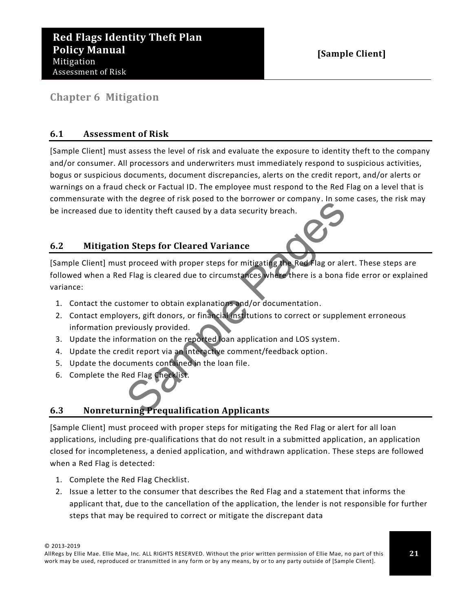**[Sample Client]**

## <span id="page-4-1"></span><span id="page-4-0"></span>**Chapter 6 Mitigation**

#### **6.1 Assessment of Risk**

[Sample Client] must assess the level of risk and evaluate the exposure to identity theft to the company and/or consumer. All processors and underwriters must immediately respond to suspicious activities, bogus or suspicious documents, document discrepancies, alerts on the credit report, and/or alerts or warnings on a fraud check or Factual ID. The employee must respond to the Red Flag on a level that is commensurate with the degree of risk posed to the borrower or company. In some cases, the risk may be increased due to identity theft caused by a data security breach.

#### <span id="page-4-2"></span>**6.2 Mitigation Steps for Cleared Variance**

[Sample Client] must proceed with proper steps for mitigating the Red Flag or alert. These steps are followed when a Red Flag is cleared due to circumstances where there is a bona fide error or explained variance: In the degree of this posed to the borrower of company. In some<br>identity theft caused by a data security breach.<br>In Steps for Cleared Variance<br>If Flag is cleared due to circumstances where there is a bona is<br>tomer to obtai

- 1. Contact the customer to obtain explanations and/or documentation.
- 2. Contact employers, gift donors, or financial institutions to correct or supplement erroneous information previously provided.
- 3. Update the information on the reported loan application and LOS system.
- 4. Update the credit report via an interactive comment/feedback option.
- 5. Update the documents contained in the loan file.
- <span id="page-4-3"></span>6. Complete the Red Flag Checklist.

## **6.3 Nonreturning Prequalification Applicants**

[Sample Client] must proceed with proper steps for mitigating the Red Flag or alert for all loan applications, including pre-qualifications that do not result in a submitted application, an application closed for incompleteness, a denied application, and withdrawn application. These steps are followed when a Red Flag is detected:

- 1. Complete the Red Flag Checklist.
- 2. Issue a letter to the consumer that describes the Red Flag and a statement that informs the applicant that, due to the cancellation of the application, the lender is not responsible for further steps that may be required to correct or mitigate the discrepant data